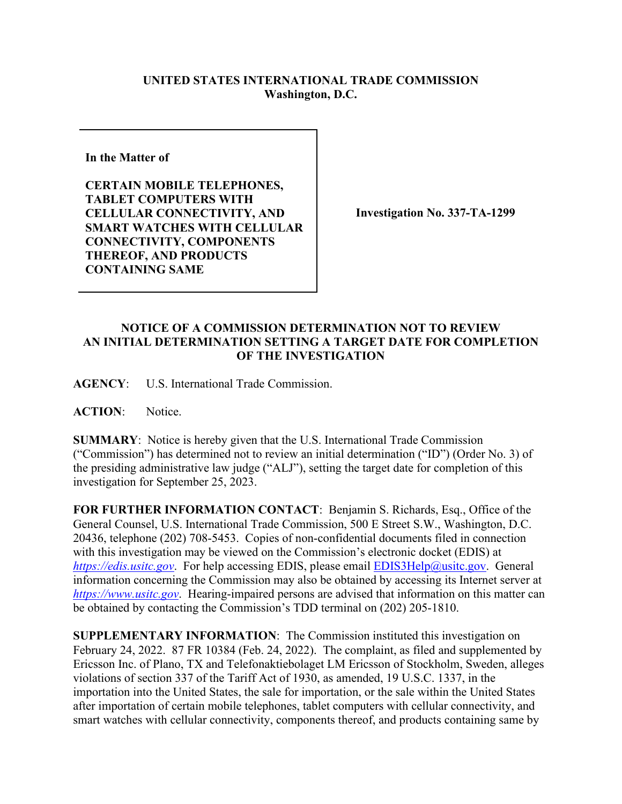## **UNITED STATES INTERNATIONAL TRADE COMMISSION Washington, D.C.**

**In the Matter of** 

**CERTAIN MOBILE TELEPHONES, TABLET COMPUTERS WITH CELLULAR CONNECTIVITY, AND SMART WATCHES WITH CELLULAR CONNECTIVITY, COMPONENTS THEREOF, AND PRODUCTS CONTAINING SAME**

**Investigation No. 337-TA-1299**

## **NOTICE OF A COMMISSION DETERMINATION NOT TO REVIEW AN INITIAL DETERMINATION SETTING A TARGET DATE FOR COMPLETION OF THE INVESTIGATION**

**AGENCY**: U.S. International Trade Commission.

**ACTION**: Notice.

**SUMMARY**: Notice is hereby given that the U.S. International Trade Commission ("Commission") has determined not to review an initial determination ("ID") (Order No. 3) of the presiding administrative law judge ("ALJ"), setting the target date for completion of this investigation for September 25, 2023.

**FOR FURTHER INFORMATION CONTACT**: Benjamin S. Richards, Esq., Office of the General Counsel, U.S. International Trade Commission, 500 E Street S.W., Washington, D.C. 20436, telephone (202) 708-5453. Copies of non-confidential documents filed in connection with this investigation may be viewed on the Commission's electronic docket (EDIS) at *[https://edis.usitc.gov](https://edis.usitc.gov/).* For help accessing EDIS, please email [EDIS3Help@usitc.gov.](mailto:EDIS3Help@usitc.gov) General information concerning the Commission may also be obtained by accessing its Internet server at *[https://www.usitc.gov](https://www.usitc.gov/)*. Hearing-impaired persons are advised that information on this matter can be obtained by contacting the Commission's TDD terminal on (202) 205-1810.

**SUPPLEMENTARY INFORMATION**: The Commission instituted this investigation on February 24, 2022. 87 FR 10384 (Feb. 24, 2022). The complaint, as filed and supplemented by Ericsson Inc. of Plano, TX and Telefonaktiebolaget LM Ericsson of Stockholm, Sweden, alleges violations of section 337 of the Tariff Act of 1930, as amended, 19 U.S.C. 1337, in the importation into the United States, the sale for importation, or the sale within the United States after importation of certain mobile telephones, tablet computers with cellular connectivity, and smart watches with cellular connectivity, components thereof, and products containing same by